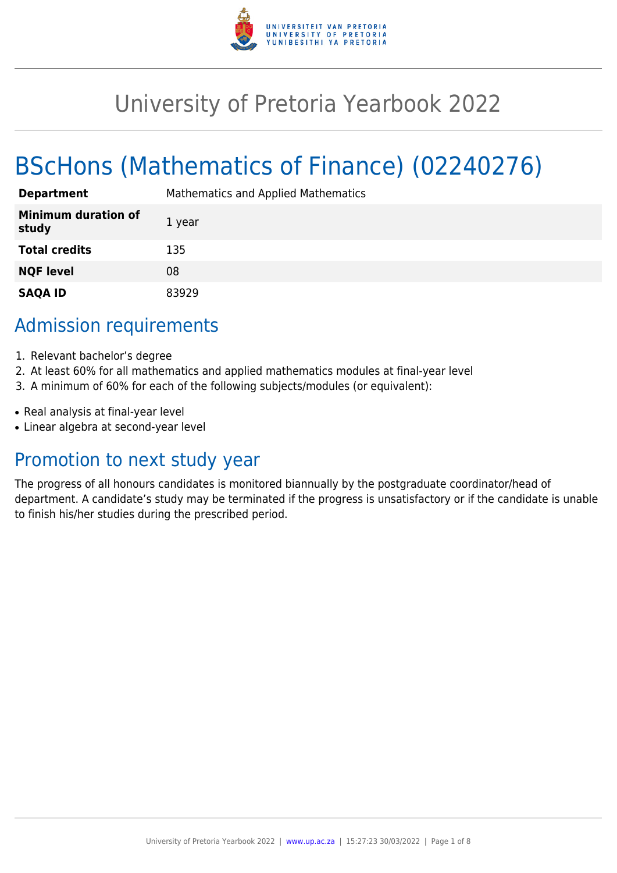

## University of Pretoria Yearbook 2022

# BScHons (Mathematics of Finance) (02240276)

| <b>Department</b>                   | Mathematics and Applied Mathematics |
|-------------------------------------|-------------------------------------|
| <b>Minimum duration of</b><br>study | 1 year                              |
| <b>Total credits</b>                | 135                                 |
| <b>NQF level</b>                    | 08                                  |
| <b>SAQA ID</b>                      | 83929                               |

### Admission requirements

- 1. Relevant bachelor's degree
- 2. At least 60% for all mathematics and applied mathematics modules at final-year level
- 3. A minimum of 60% for each of the following subjects/modules (or equivalent):
- Real analysis at final-year level
- Linear algebra at second-year level

### Promotion to next study year

The progress of all honours candidates is monitored biannually by the postgraduate coordinator/head of department. A candidate's study may be terminated if the progress is unsatisfactory or if the candidate is unable to finish his/her studies during the prescribed period.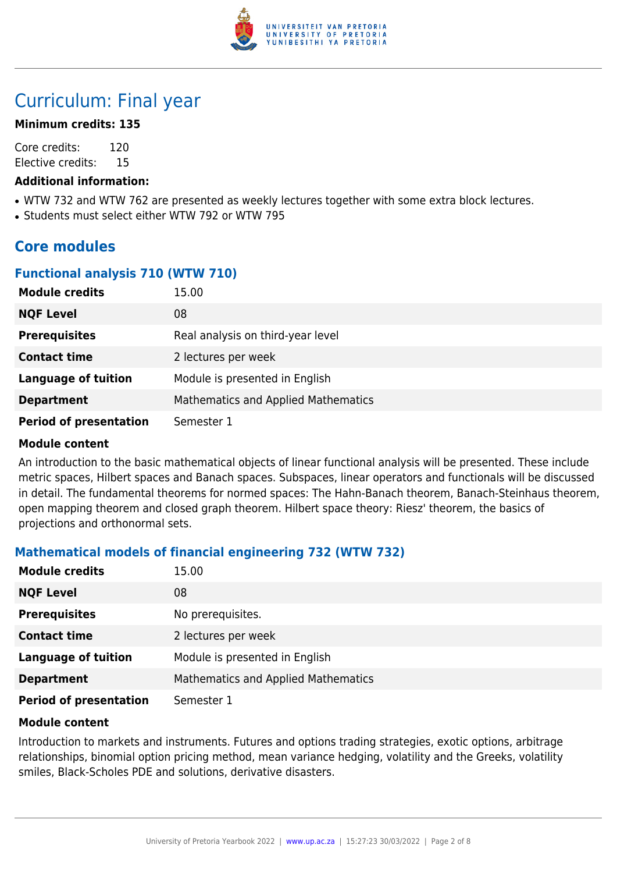

## Curriculum: Final year

### **Minimum credits: 135**

Core credits: 120 Elective credits: 15

### **Additional information:**

- WTW 732 and WTW 762 are presented as weekly lectures together with some extra block lectures.
- Students must select either WTW 792 or WTW 795

### **Core modules**

### **Functional analysis 710 (WTW 710)**

| <b>Module credits</b>         | 15.00                               |
|-------------------------------|-------------------------------------|
| <b>NQF Level</b>              | 08                                  |
| <b>Prerequisites</b>          | Real analysis on third-year level   |
| <b>Contact time</b>           | 2 lectures per week                 |
| <b>Language of tuition</b>    | Module is presented in English      |
| <b>Department</b>             | Mathematics and Applied Mathematics |
| <b>Period of presentation</b> | Semester 1                          |

### **Module content**

An introduction to the basic mathematical objects of linear functional analysis will be presented. These include metric spaces, Hilbert spaces and Banach spaces. Subspaces, linear operators and functionals will be discussed in detail. The fundamental theorems for normed spaces: The Hahn-Banach theorem, Banach-Steinhaus theorem, open mapping theorem and closed graph theorem. Hilbert space theory: Riesz' theorem, the basics of projections and orthonormal sets.

### **Mathematical models of financial engineering 732 (WTW 732)**

| <b>Module credits</b>         | 15.00                               |
|-------------------------------|-------------------------------------|
| <b>NQF Level</b>              | 08                                  |
| <b>Prerequisites</b>          | No prerequisites.                   |
| <b>Contact time</b>           | 2 lectures per week                 |
| <b>Language of tuition</b>    | Module is presented in English      |
| <b>Department</b>             | Mathematics and Applied Mathematics |
| <b>Period of presentation</b> | Semester 1                          |

### **Module content**

Introduction to markets and instruments. Futures and options trading strategies, exotic options, arbitrage relationships, binomial option pricing method, mean variance hedging, volatility and the Greeks, volatility smiles, Black-Scholes PDE and solutions, derivative disasters.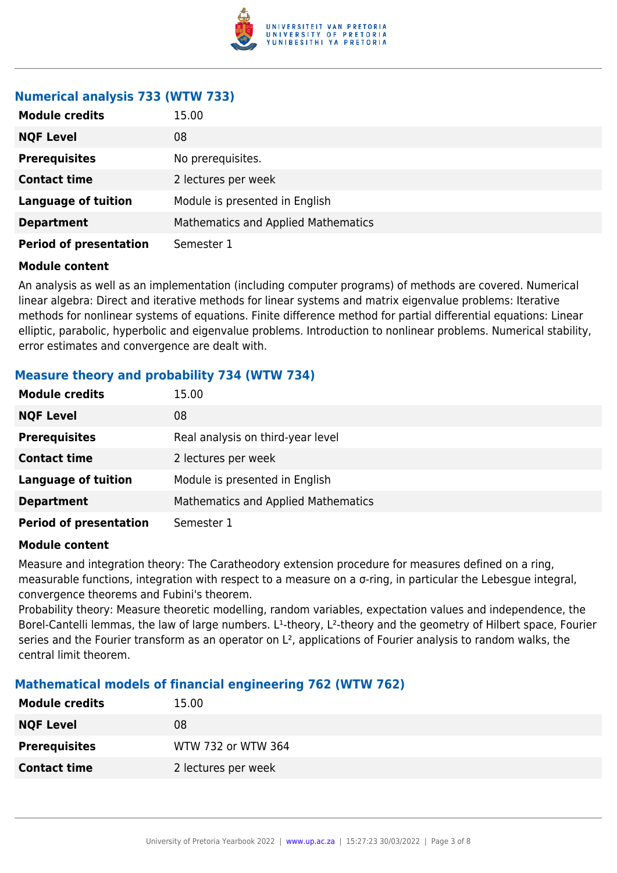

### **Numerical analysis 733 (WTW 733)**

| <b>Module credits</b>         | 15.00                                      |
|-------------------------------|--------------------------------------------|
| <b>NQF Level</b>              | 08                                         |
| <b>Prerequisites</b>          | No prerequisites.                          |
| <b>Contact time</b>           | 2 lectures per week                        |
| <b>Language of tuition</b>    | Module is presented in English             |
| <b>Department</b>             | <b>Mathematics and Applied Mathematics</b> |
| <b>Period of presentation</b> | Semester 1                                 |

### **Module content**

An analysis as well as an implementation (including computer programs) of methods are covered. Numerical linear algebra: Direct and iterative methods for linear systems and matrix eigenvalue problems: Iterative methods for nonlinear systems of equations. Finite difference method for partial differential equations: Linear elliptic, parabolic, hyperbolic and eigenvalue problems. Introduction to nonlinear problems. Numerical stability, error estimates and convergence are dealt with.

### **Measure theory and probability 734 (WTW 734)**

| <b>Module credits</b>         | 15.00                                      |
|-------------------------------|--------------------------------------------|
| <b>NQF Level</b>              | 08                                         |
| <b>Prerequisites</b>          | Real analysis on third-year level          |
| <b>Contact time</b>           | 2 lectures per week                        |
| <b>Language of tuition</b>    | Module is presented in English             |
| <b>Department</b>             | <b>Mathematics and Applied Mathematics</b> |
| <b>Period of presentation</b> | Semester 1                                 |

### **Module content**

Measure and integration theory: The Caratheodory extension procedure for measures defined on a ring, measurable functions, integration with respect to a measure on a σ-ring, in particular the Lebesgue integral, convergence theorems and Fubini's theorem.

Probability theory: Measure theoretic modelling, random variables, expectation values and independence, the Borel-Cantelli lemmas, the law of large numbers. L<sup>1</sup>-theory, L<sup>2</sup>-theory and the geometry of Hilbert space, Fourier series and the Fourier transform as an operator on L<sup>2</sup>, applications of Fourier analysis to random walks, the central limit theorem.

### **Mathematical models of financial engineering 762 (WTW 762)**

| <b>Module credits</b> | 15.00               |
|-----------------------|---------------------|
| <b>NQF Level</b>      | 08                  |
| <b>Prerequisites</b>  | WTW 732 or WTW 364  |
| <b>Contact time</b>   | 2 lectures per week |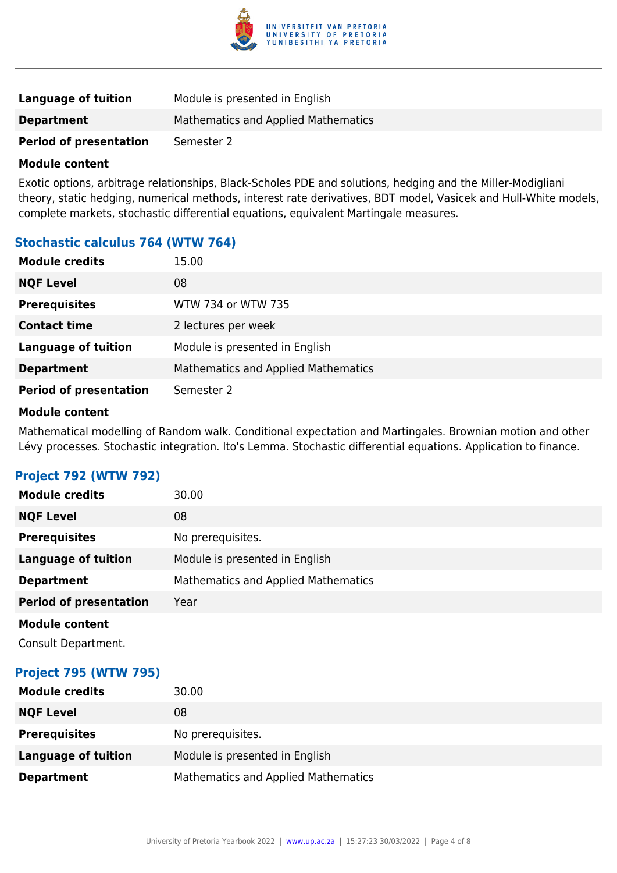

| <b>Language of tuition</b>    | Module is presented in English      |
|-------------------------------|-------------------------------------|
| <b>Department</b>             | Mathematics and Applied Mathematics |
| <b>Period of presentation</b> | Semester 2                          |

### **Module content**

Exotic options, arbitrage relationships, Black-Scholes PDE and solutions, hedging and the Miller-Modigliani theory, static hedging, numerical methods, interest rate derivatives, BDT model, Vasicek and Hull-White models, complete markets, stochastic differential equations, equivalent Martingale measures.

### **Stochastic calculus 764 (WTW 764)**

| <b>Module credits</b>         | 15.00                               |
|-------------------------------|-------------------------------------|
| <b>NQF Level</b>              | 08                                  |
| <b>Prerequisites</b>          | WTW 734 or WTW 735                  |
| <b>Contact time</b>           | 2 lectures per week                 |
| <b>Language of tuition</b>    | Module is presented in English      |
| <b>Department</b>             | Mathematics and Applied Mathematics |
| <b>Period of presentation</b> | Semester 2                          |

### **Module content**

Mathematical modelling of Random walk. Conditional expectation and Martingales. Brownian motion and other Lévy processes. Stochastic integration. Ito's Lemma. Stochastic differential equations. Application to finance.

### **Project 792 (WTW 792)**

| <b>Module credits</b>         | 30.00                                      |
|-------------------------------|--------------------------------------------|
| <b>NQF Level</b>              | 08                                         |
| <b>Prerequisites</b>          | No prerequisites.                          |
| <b>Language of tuition</b>    | Module is presented in English             |
| <b>Department</b>             | <b>Mathematics and Applied Mathematics</b> |
| <b>Period of presentation</b> | Year                                       |
| <b>Module content</b>         |                                            |
| Consult Department.           |                                            |

### **Project 795 (WTW 795)**

| <b>Module credits</b> | 30.00                               |
|-----------------------|-------------------------------------|
| <b>NQF Level</b>      | 08                                  |
| <b>Prerequisites</b>  | No prerequisites.                   |
| Language of tuition   | Module is presented in English      |
| <b>Department</b>     | Mathematics and Applied Mathematics |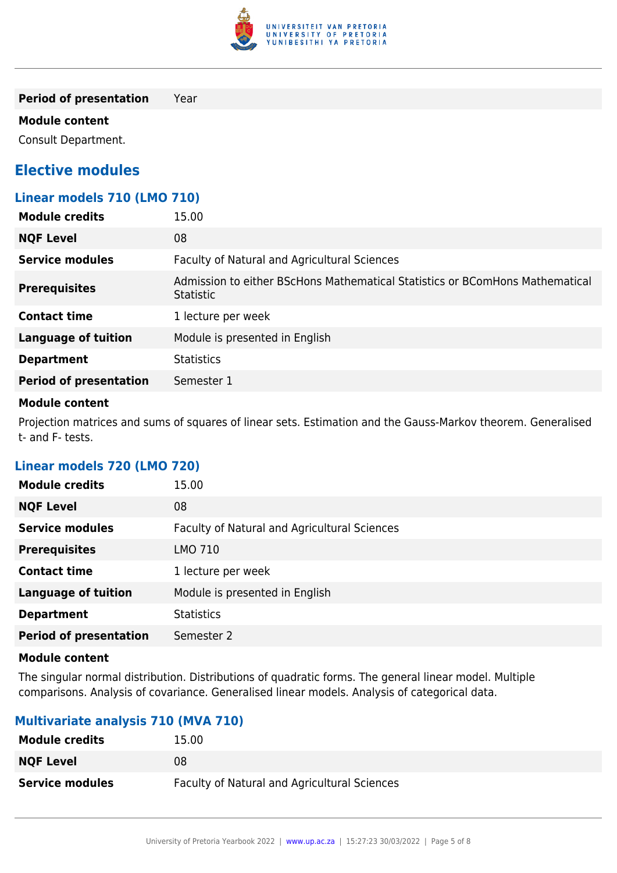

**Period of presentation** Year

### **Module content**

Consult Department.

### **Elective modules**

| Linear models 710 (LMO 710)   |                                                                                                  |
|-------------------------------|--------------------------------------------------------------------------------------------------|
| <b>Module credits</b>         | 15.00                                                                                            |
| <b>NQF Level</b>              | 08                                                                                               |
| <b>Service modules</b>        | Faculty of Natural and Agricultural Sciences                                                     |
| <b>Prerequisites</b>          | Admission to either BScHons Mathematical Statistics or BComHons Mathematical<br><b>Statistic</b> |
| <b>Contact time</b>           | 1 lecture per week                                                                               |
| <b>Language of tuition</b>    | Module is presented in English                                                                   |
| <b>Department</b>             | <b>Statistics</b>                                                                                |
| <b>Period of presentation</b> | Semester 1                                                                                       |

### **Module content**

Projection matrices and sums of squares of linear sets. Estimation and the Gauss-Markov theorem. Generalised t- and F- tests.

### **Linear models 720 (LMO 720)**

| <b>Module credits</b>         | 15.00                                        |
|-------------------------------|----------------------------------------------|
| <b>NQF Level</b>              | 08                                           |
| <b>Service modules</b>        | Faculty of Natural and Agricultural Sciences |
| <b>Prerequisites</b>          | LMO 710                                      |
| <b>Contact time</b>           | 1 lecture per week                           |
| <b>Language of tuition</b>    | Module is presented in English               |
| <b>Department</b>             | <b>Statistics</b>                            |
| <b>Period of presentation</b> | Semester 2                                   |

### **Module content**

The singular normal distribution. Distributions of quadratic forms. The general linear model. Multiple comparisons. Analysis of covariance. Generalised linear models. Analysis of categorical data.

### **Multivariate analysis 710 (MVA 710)**

| <b>Module credits</b>  | 15.00                                        |
|------------------------|----------------------------------------------|
| <b>NQF Level</b>       | 08                                           |
| <b>Service modules</b> | Faculty of Natural and Agricultural Sciences |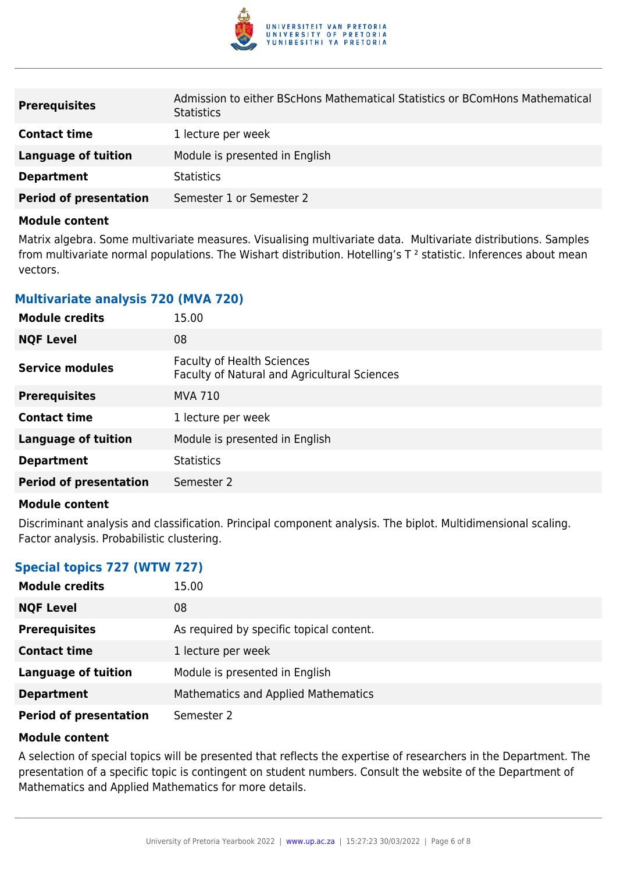

| <b>Prerequisites</b>          | Admission to either BScHons Mathematical Statistics or BComHons Mathematical<br><b>Statistics</b> |
|-------------------------------|---------------------------------------------------------------------------------------------------|
| <b>Contact time</b>           | 1 lecture per week                                                                                |
| Language of tuition           | Module is presented in English                                                                    |
| <b>Department</b>             | <b>Statistics</b>                                                                                 |
| <b>Period of presentation</b> | Semester 1 or Semester 2                                                                          |

### **Module content**

Matrix algebra. Some multivariate measures. Visualising multivariate data. Multivariate distributions. Samples from multivariate normal populations. The Wishart distribution. Hotelling's  $T^2$  statistic. Inferences about mean vectors.

### **Multivariate analysis 720 (MVA 720)**

| <b>Module credits</b>         | 15.00                                                                             |
|-------------------------------|-----------------------------------------------------------------------------------|
| <b>NQF Level</b>              | 08                                                                                |
| Service modules               | <b>Faculty of Health Sciences</b><br>Faculty of Natural and Agricultural Sciences |
| <b>Prerequisites</b>          | <b>MVA 710</b>                                                                    |
| <b>Contact time</b>           | 1 lecture per week                                                                |
| <b>Language of tuition</b>    | Module is presented in English                                                    |
| <b>Department</b>             | <b>Statistics</b>                                                                 |
| <b>Period of presentation</b> | Semester 2                                                                        |

### **Module content**

Discriminant analysis and classification. Principal component analysis. The biplot. Multidimensional scaling. Factor analysis. Probabilistic clustering.

### **Special topics 727 (WTW 727)**

| <b>Module credits</b>         | 15.00                                    |
|-------------------------------|------------------------------------------|
| <b>NQF Level</b>              | 08                                       |
| <b>Prerequisites</b>          | As required by specific topical content. |
| <b>Contact time</b>           | 1 lecture per week                       |
| <b>Language of tuition</b>    | Module is presented in English           |
| <b>Department</b>             | Mathematics and Applied Mathematics      |
| <b>Period of presentation</b> | Semester 2                               |

### **Module content**

A selection of special topics will be presented that reflects the expertise of researchers in the Department. The presentation of a specific topic is contingent on student numbers. Consult the website of the Department of Mathematics and Applied Mathematics for more details.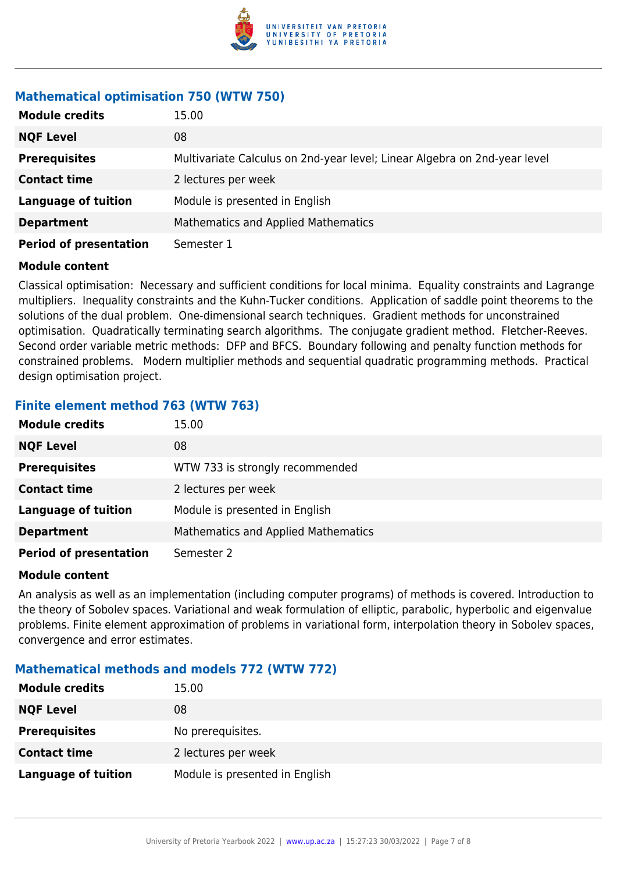

### **Mathematical optimisation 750 (WTW 750)**

| <b>Module credits</b>         | 15.00                                                                     |
|-------------------------------|---------------------------------------------------------------------------|
| <b>NQF Level</b>              | 08                                                                        |
| <b>Prerequisites</b>          | Multivariate Calculus on 2nd-year level; Linear Algebra on 2nd-year level |
| <b>Contact time</b>           | 2 lectures per week                                                       |
| <b>Language of tuition</b>    | Module is presented in English                                            |
| <b>Department</b>             | <b>Mathematics and Applied Mathematics</b>                                |
| <b>Period of presentation</b> | Semester 1                                                                |

### **Module content**

Classical optimisation: Necessary and sufficient conditions for local minima. Equality constraints and Lagrange multipliers. Inequality constraints and the Kuhn-Tucker conditions. Application of saddle point theorems to the solutions of the dual problem. One-dimensional search techniques. Gradient methods for unconstrained optimisation. Quadratically terminating search algorithms. The conjugate gradient method. Fletcher-Reeves. Second order variable metric methods: DFP and BFCS. Boundary following and penalty function methods for constrained problems. Modern multiplier methods and sequential quadratic programming methods. Practical design optimisation project.

### **Finite element method 763 (WTW 763)**

| <b>Module credits</b>         | 15.00                               |
|-------------------------------|-------------------------------------|
| <b>NQF Level</b>              | 08                                  |
| <b>Prerequisites</b>          | WTW 733 is strongly recommended     |
| <b>Contact time</b>           | 2 lectures per week                 |
| <b>Language of tuition</b>    | Module is presented in English      |
| <b>Department</b>             | Mathematics and Applied Mathematics |
| <b>Period of presentation</b> | Semester 2                          |

### **Module content**

An analysis as well as an implementation (including computer programs) of methods is covered. Introduction to the theory of Sobolev spaces. Variational and weak formulation of elliptic, parabolic, hyperbolic and eigenvalue problems. Finite element approximation of problems in variational form, interpolation theory in Sobolev spaces, convergence and error estimates.

### **Mathematical methods and models 772 (WTW 772)**

| <b>Module credits</b>      | 15.00                          |
|----------------------------|--------------------------------|
| <b>NQF Level</b>           | 08                             |
| <b>Prerequisites</b>       | No prerequisites.              |
| <b>Contact time</b>        | 2 lectures per week            |
| <b>Language of tuition</b> | Module is presented in English |